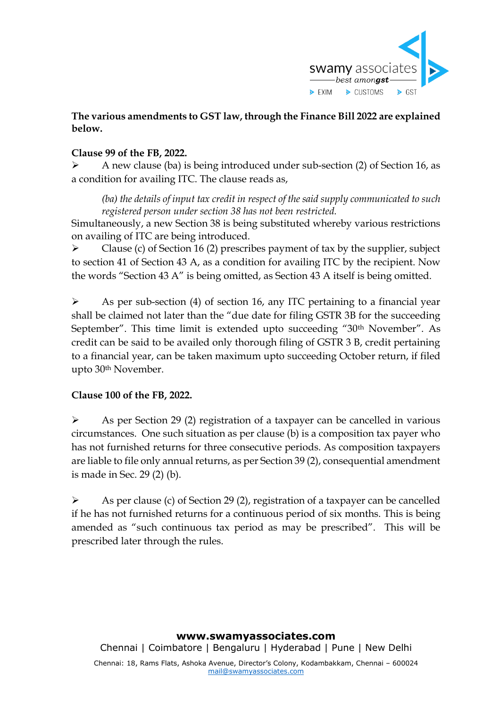

# **The various amendments to GST law, through the Finance Bill 2022 are explained below.**

# **Clause 99 of the FB, 2022.**

➢ A new clause (ba) is being introduced under sub-section (2) of Section 16, as a condition for availing ITC. The clause reads as,

*(ba) the details of input tax credit in respect of the said supply communicated to such registered person under section 38 has not been restricted.*

Simultaneously, a new Section 38 is being substituted whereby various restrictions on availing of ITC are being introduced.

➢ Clause (c) of Section 16 (2) prescribes payment of tax by the supplier, subject to section 41 of Section 43 A, as a condition for availing ITC by the recipient. Now the words "Section 43 A" is being omitted, as Section 43 A itself is being omitted.

➢ As per sub-section (4) of section 16, any ITC pertaining to a financial year shall be claimed not later than the "due date for filing GSTR 3B for the succeeding September". This time limit is extended upto succeeding "30<sup>th</sup> November". As credit can be said to be availed only thorough filing of GSTR 3 B, credit pertaining to a financial year, can be taken maximum upto succeeding October return, if filed upto 30th November.

# **Clause 100 of the FB, 2022.**

➢ As per Section 29 (2) registration of a taxpayer can be cancelled in various circumstances. One such situation as per clause (b) is a composition tax payer who has not furnished returns for three consecutive periods. As composition taxpayers are liable to file only annual returns, as per Section 39 (2), consequential amendment is made in Sec. 29 (2) (b).

➢ As per clause (c) of Section 29 (2), registration of a taxpayer can be cancelled if he has not furnished returns for a continuous period of six months. This is being amended as "such continuous tax period as may be prescribed". This will be prescribed later through the rules.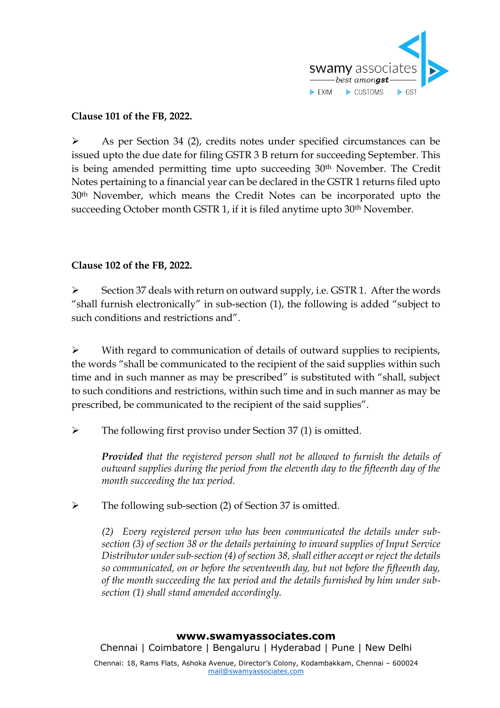

## **Clause 101 of the FB, 2022.**

➢ As per Section 34 (2), credits notes under specified circumstances can be issued upto the due date for filing GSTR 3 B return for succeeding September. This is being amended permitting time upto succeeding 30th November. The Credit Notes pertaining to a financial year can be declared in the GSTR 1 returns filed upto 30th November, which means the Credit Notes can be incorporated upto the succeeding October month GSTR 1, if it is filed anytime upto 30<sup>th</sup> November.

## **Clause 102 of the FB, 2022.**

Section 37 deals with return on outward supply, i.e. GSTR 1. After the words "shall furnish electronically" in sub-section (1), the following is added "subject to such conditions and restrictions and".

➢ With regard to communication of details of outward supplies to recipients, the words "shall be communicated to the recipient of the said supplies within such time and in such manner as may be prescribed" is substituted with "shall, subject to such conditions and restrictions, within such time and in such manner as may be prescribed, be communicated to the recipient of the said supplies".

➢ The following first proviso under Section 37 (1) is omitted.

*Provided that the registered person shall not be allowed to furnish the details of outward supplies during the period from the eleventh day to the fifteenth day of the month succeeding the tax period.*

➢ The following sub-section (2) of Section 37 is omitted.

*(2) Every registered person who has been communicated the details under subsection (3) of section 38 or the details pertaining to inward supplies of Input Service Distributor under sub-section (4) of section 38, shall either accept or reject the details so communicated, on or before the seventeenth day, but not before the fifteenth day, of the month succeeding the tax period and the details furnished by him under subsection (1) shall stand amended accordingly.*

#### **www.swamyassociates.com**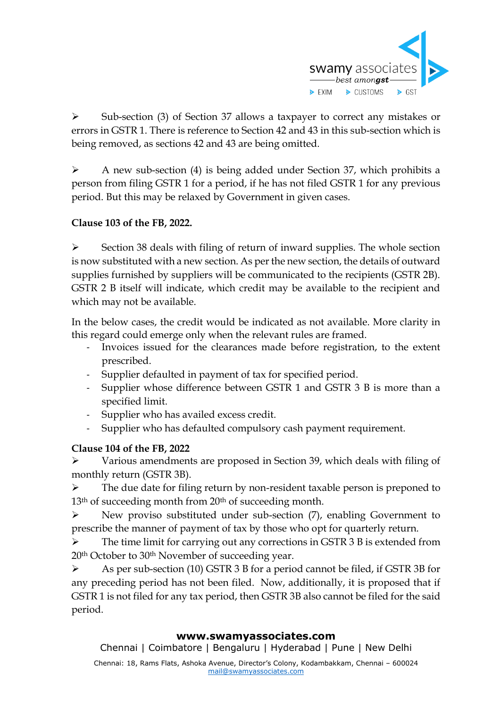

➢ Sub-section (3) of Section 37 allows a taxpayer to correct any mistakes or errors in GSTR 1. There is reference to Section 42 and 43 in this sub-section which is being removed, as sections 42 and 43 are being omitted.

➢ A new sub-section (4) is being added under Section 37, which prohibits a person from filing GSTR 1 for a period, if he has not filed GSTR 1 for any previous period. But this may be relaxed by Government in given cases.

# **Clause 103 of the FB, 2022.**

➢ Section 38 deals with filing of return of inward supplies. The whole section is now substituted with a new section. As per the new section, the details of outward supplies furnished by suppliers will be communicated to the recipients (GSTR 2B). GSTR 2 B itself will indicate, which credit may be available to the recipient and which may not be available.

In the below cases, the credit would be indicated as not available. More clarity in this regard could emerge only when the relevant rules are framed.

- Invoices issued for the clearances made before registration, to the extent prescribed.
- Supplier defaulted in payment of tax for specified period.
- Supplier whose difference between GSTR 1 and GSTR 3 B is more than a specified limit.
- Supplier who has availed excess credit.
- Supplier who has defaulted compulsory cash payment requirement.

# **Clause 104 of the FB, 2022**

➢ Various amendments are proposed in Section 39, which deals with filing of monthly return (GSTR 3B).

➢ The due date for filing return by non-resident taxable person is preponed to 13<sup>th</sup> of succeeding month from 20<sup>th</sup> of succeeding month.

➢ New proviso substituted under sub-section (7), enabling Government to prescribe the manner of payment of tax by those who opt for quarterly return.

➢ The time limit for carrying out any corrections in GSTR 3 B is extended from 20th October to 30th November of succeeding year.

➢ As per sub-section (10) GSTR 3 B for a period cannot be filed, if GSTR 3B for any preceding period has not been filed. Now, additionally, it is proposed that if GSTR 1 is not filed for any tax period, then GSTR 3B also cannot be filed for the said period.

### **www.swamyassociates.com**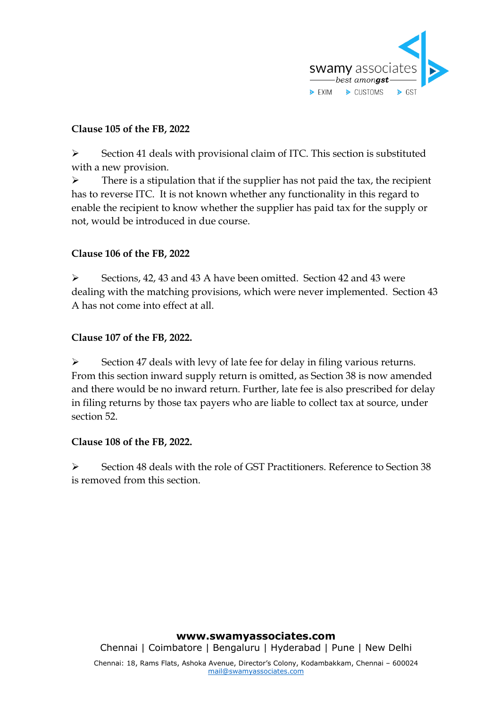

# **Clause 105 of the FB, 2022**

➢ Section 41 deals with provisional claim of ITC. This section is substituted with a new provision.

 $\triangleright$  There is a stipulation that if the supplier has not paid the tax, the recipient has to reverse ITC. It is not known whether any functionality in this regard to enable the recipient to know whether the supplier has paid tax for the supply or not, would be introduced in due course.

## **Clause 106 of the FB, 2022**

➢ Sections, 42, 43 and 43 A have been omitted. Section 42 and 43 were dealing with the matching provisions, which were never implemented. Section 43 A has not come into effect at all.

## **Clause 107 of the FB, 2022.**

➢ Section 47 deals with levy of late fee for delay in filing various returns. From this section inward supply return is omitted, as Section 38 is now amended and there would be no inward return. Further, late fee is also prescribed for delay in filing returns by those tax payers who are liable to collect tax at source, under section 52.

### **Clause 108 of the FB, 2022.**

➢ Section 48 deals with the role of GST Practitioners. Reference to Section 38 is removed from this section.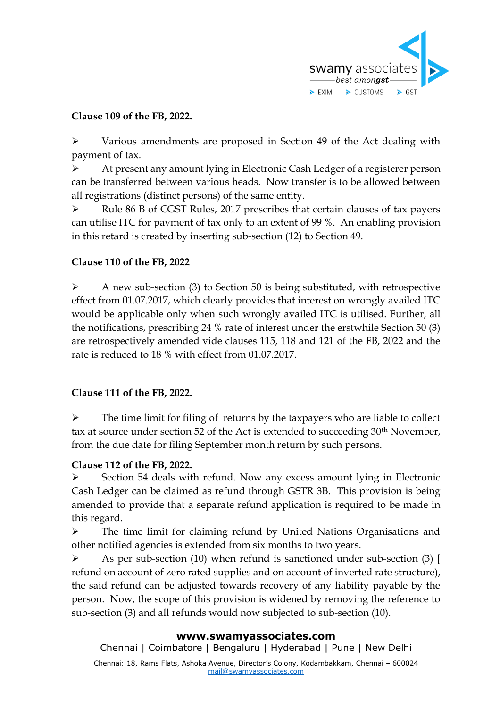

# **Clause 109 of the FB, 2022.**

➢ Various amendments are proposed in Section 49 of the Act dealing with payment of tax.

➢ At present any amount lying in Electronic Cash Ledger of a registerer person can be transferred between various heads. Now transfer is to be allowed between all registrations (distinct persons) of the same entity.

➢ Rule 86 B of CGST Rules, 2017 prescribes that certain clauses of tax payers can utilise ITC for payment of tax only to an extent of 99 %. An enabling provision in this retard is created by inserting sub-section (12) to Section 49.

## **Clause 110 of the FB, 2022**

➢ A new sub-section (3) to Section 50 is being substituted, with retrospective effect from 01.07.2017, which clearly provides that interest on wrongly availed ITC would be applicable only when such wrongly availed ITC is utilised. Further, all the notifications, prescribing 24 % rate of interest under the erstwhile Section 50 (3) are retrospectively amended vide clauses 115, 118 and 121 of the FB, 2022 and the rate is reduced to 18 % with effect from 01.07.2017.

### **Clause 111 of the FB, 2022.**

 $\triangleright$  The time limit for filing of returns by the taxpayers who are liable to collect tax at source under section 52 of the Act is extended to succeeding 30th November, from the due date for filing September month return by such persons.

### **Clause 112 of the FB, 2022.**

➢ Section 54 deals with refund. Now any excess amount lying in Electronic Cash Ledger can be claimed as refund through GSTR 3B. This provision is being amended to provide that a separate refund application is required to be made in this regard.

➢ The time limit for claiming refund by United Nations Organisations and other notified agencies is extended from six months to two years.

As per sub-section (10) when refund is sanctioned under sub-section (3) [ refund on account of zero rated supplies and on account of inverted rate structure), the said refund can be adjusted towards recovery of any liability payable by the person. Now, the scope of this provision is widened by removing the reference to sub-section (3) and all refunds would now subjected to sub-section (10).

### **www.swamyassociates.com**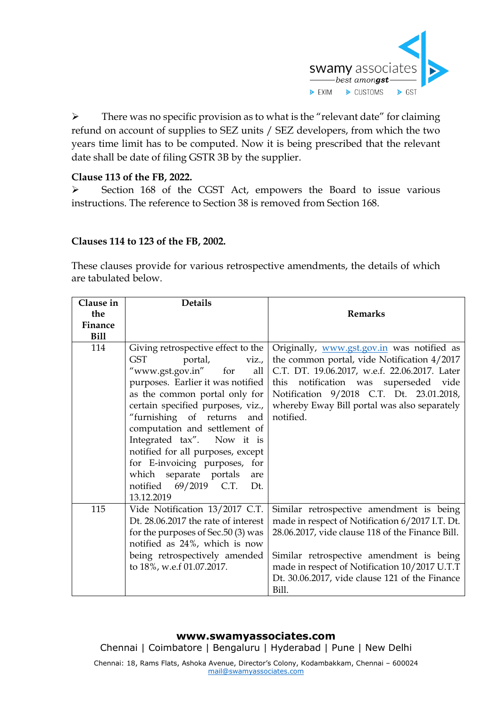

 $\triangleright$  There was no specific provision as to what is the "relevant date" for claiming refund on account of supplies to SEZ units / SEZ developers, from which the two years time limit has to be computed. Now it is being prescribed that the relevant date shall be date of filing GSTR 3B by the supplier.

# **Clause 113 of the FB, 2022.**

➢ Section 168 of the CGST Act, empowers the Board to issue various instructions. The reference to Section 38 is removed from Section 168.

## **Clauses 114 to 123 of the FB, 2002.**

These clauses provide for various retrospective amendments, the details of which are tabulated below.

| Clause in   | <b>Details</b>                                                                                                                                                                                                                                                                                                                                                                                                                                             |                                                                                                                                                                                                                                                                                                         |
|-------------|------------------------------------------------------------------------------------------------------------------------------------------------------------------------------------------------------------------------------------------------------------------------------------------------------------------------------------------------------------------------------------------------------------------------------------------------------------|---------------------------------------------------------------------------------------------------------------------------------------------------------------------------------------------------------------------------------------------------------------------------------------------------------|
| the         |                                                                                                                                                                                                                                                                                                                                                                                                                                                            | <b>Remarks</b>                                                                                                                                                                                                                                                                                          |
| Finance     |                                                                                                                                                                                                                                                                                                                                                                                                                                                            |                                                                                                                                                                                                                                                                                                         |
| <b>Bill</b> |                                                                                                                                                                                                                                                                                                                                                                                                                                                            |                                                                                                                                                                                                                                                                                                         |
| 114         | Giving retrospective effect to the<br><b>GST</b><br>portal, viz.,<br>"www.gst.gov.in" for<br>all<br>purposes. Earlier it was notified<br>as the common portal only for<br>certain specified purposes, viz.,<br>"furnishing of returns and<br>computation and settlement of<br>Integrated tax". Now it is<br>notified for all purposes, except<br>for E-invoicing purposes, for<br>which separate portals are<br>notified 69/2019 C.T.<br>Dt.<br>13.12.2019 | Originally, www.gst.gov.in was notified as<br>the common portal, vide Notification 4/2017<br>C.T. DT. 19.06.2017, w.e.f. 22.06.2017. Later<br>this notification was superseded vide<br>Notification 9/2018 C.T. Dt. 23.01.2018,<br>whereby Eway Bill portal was also separately<br>notified.            |
| 115         | Vide Notification 13/2017 C.T.<br>Dt. 28.06.2017 the rate of interest<br>for the purposes of Sec.50 (3) was<br>notified as 24%, which is now<br>being retrospectively amended<br>to 18%, w.e.f 01.07.2017.                                                                                                                                                                                                                                                 | Similar retrospective amendment is being<br>made in respect of Notification 6/2017 I.T. Dt.<br>28.06.2017, vide clause 118 of the Finance Bill.<br>Similar retrospective amendment is being<br>made in respect of Notification 10/2017 U.T.T<br>Dt. 30.06.2017, vide clause 121 of the Finance<br>Bill. |

#### **www.swamyassociates.com**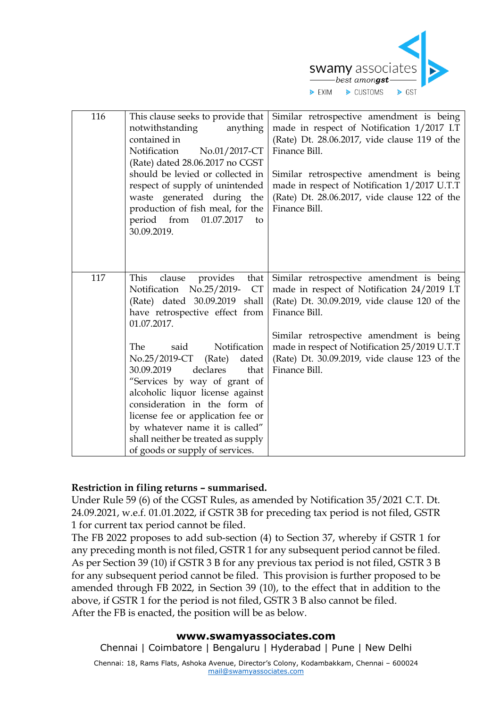

| 116 | This clause seeks to provide that<br>notwithstanding<br>anything<br>contained in<br>Notification<br>No.01/2017-CT<br>(Rate) dated 28.06.2017 no CGST<br>should be levied or collected in<br>respect of supply of unintended<br>waste generated during the<br>production of fish meal, for the<br>period from<br>01.07.2017<br>to<br>30.09.2019.                                                                                                                                                                           | Similar retrospective amendment is being<br>made in respect of Notification 1/2017 I.T<br>(Rate) Dt. 28.06.2017, vide clause 119 of the<br>Finance Bill.<br>Similar retrospective amendment is being<br>made in respect of Notification 1/2017 U.T.T<br>(Rate) Dt. 28.06.2017, vide clause 122 of the<br>Finance Bill.   |
|-----|---------------------------------------------------------------------------------------------------------------------------------------------------------------------------------------------------------------------------------------------------------------------------------------------------------------------------------------------------------------------------------------------------------------------------------------------------------------------------------------------------------------------------|--------------------------------------------------------------------------------------------------------------------------------------------------------------------------------------------------------------------------------------------------------------------------------------------------------------------------|
| 117 | This<br>provides<br>that<br>clause<br>Notification No.25/2019-<br><b>CT</b><br>(Rate) dated 30.09.2019<br>shall<br>have retrospective effect from<br>01.07.2017.<br>The<br>Notification<br>said<br>No.25/2019-CT<br>(Rate)<br>dated<br>30.09.2019<br>declares<br>that<br>"Services by way of grant of<br>alcoholic liquor license against<br>consideration in the form of<br>license fee or application fee or<br>by whatever name it is called"<br>shall neither be treated as supply<br>of goods or supply of services. | Similar retrospective amendment is being<br>made in respect of Notification 24/2019 I.T<br>(Rate) Dt. 30.09.2019, vide clause 120 of the<br>Finance Bill.<br>Similar retrospective amendment is being<br>made in respect of Notification 25/2019 U.T.T<br>(Rate) Dt. 30.09.2019, vide clause 123 of the<br>Finance Bill. |

### **Restriction in filing returns – summarised.**

Under Rule 59 (6) of the CGST Rules, as amended by Notification 35/2021 C.T. Dt. 24.09.2021, w.e.f. 01.01.2022, if GSTR 3B for preceding tax period is not filed, GSTR 1 for current tax period cannot be filed.

The FB 2022 proposes to add sub-section (4) to Section 37, whereby if GSTR 1 for any preceding month is not filed, GSTR 1 for any subsequent period cannot be filed. As per Section 39 (10) if GSTR 3 B for any previous tax period is not filed, GSTR 3 B for any subsequent period cannot be filed. This provision is further proposed to be amended through FB 2022, in Section 39 (10), to the effect that in addition to the above, if GSTR 1 for the period is not filed, GSTR 3 B also cannot be filed. After the FB is enacted, the position will be as below.

#### **www.swamyassociates.com**